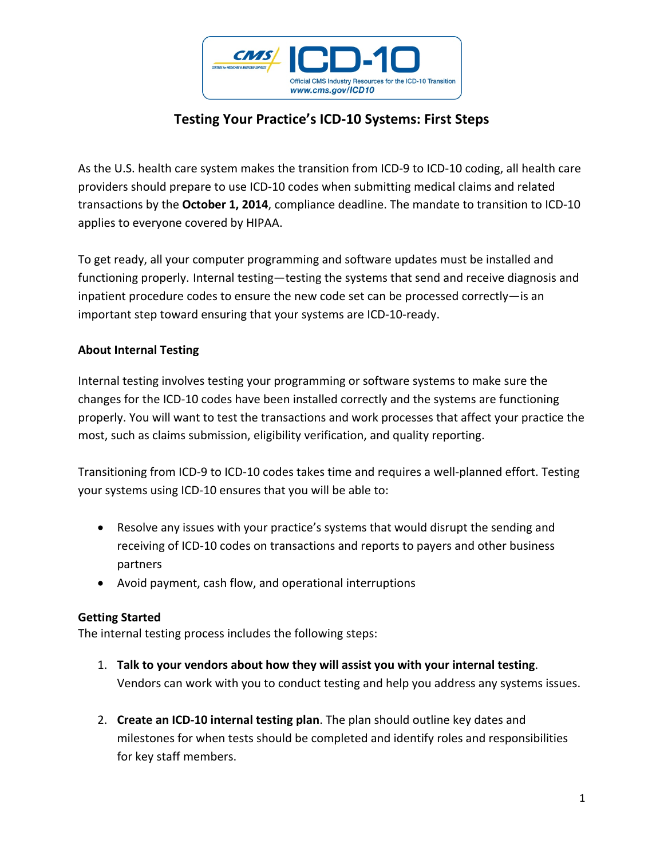

# **Testing Your Practice's ICD‐10 Systems: First Steps**

As the U.S. health care system makes the transition from ICD‐9 to ICD‐10 coding, all health care providers should prepare to use ICD‐10 codes when submitting medical claims and related transactions by the **October 1, 2014**, compliance deadline. The mandate to transition to ICD‐10 applies to everyone covered by HIPAA.

To get ready, all your computer programming and software updates must be installed and functioning properly. Internal testing—testing the systems that send and receive diagnosis and inpatient procedure codes to ensure the new code set can be processed correctly—is an important step toward ensuring that your systems are ICD‐10‐ready.

# **About Internal Testing**

Internal testing involves testing your programming or software systems to make sure the changes for the ICD‐10 codes have been installed correctly and the systems are functioning properly. You will want to test the transactions and work processes that affect your practice the most, such as claims submission, eligibility verification, and quality reporting.

Transitioning from ICD‐9 to ICD‐10 codes takes time and requires a well‐planned effort. Testing your systems using ICD‐10 ensures that you will be able to:

- Resolve any issues with your practice's systems that would disrupt the sending and receiving of ICD‐10 codes on transactions and reports to payers and other business partners
- Avoid payment, cash flow, and operational interruptions

### **Getting Started**

The internal testing process includes the following steps:

- 1. **Talk to your vendors about how they will assist you with your internal testing**. Vendors can work with you to conduct testing and help you address any systems issues.
- 2. **Create an ICD‐10 internal testing plan**. The plan should outline key dates and milestones for when tests should be completed and identify roles and responsibilities for key staff members.